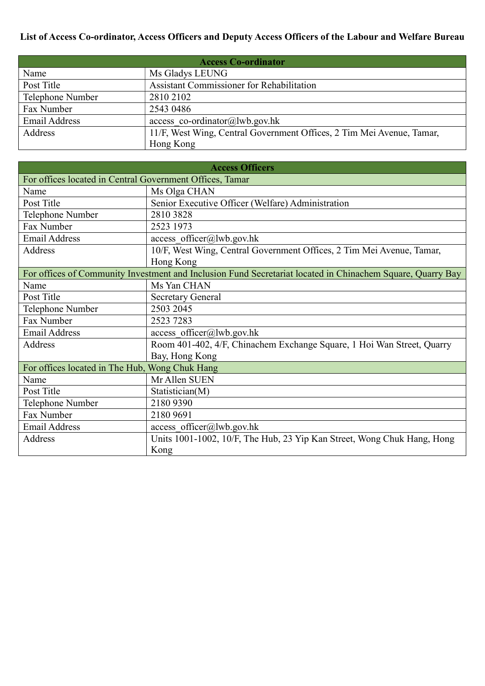## List of Access Co-ordinator, Access Officers and Deputy Access Officers of the Labour and Welfare Bureau

| <b>Access Co-ordinator</b> |                                                                       |  |
|----------------------------|-----------------------------------------------------------------------|--|
| Name                       | Ms Gladys LEUNG                                                       |  |
| Post Title                 | Assistant Commissioner for Rehabilitation                             |  |
| Telephone Number           | 2810 2102                                                             |  |
| Fax Number                 | 2543 0486                                                             |  |
| <b>Email Address</b>       | access co-ordinator@lwb.gov.hk                                        |  |
| Address                    | 11/F, West Wing, Central Government Offices, 2 Tim Mei Avenue, Tamar, |  |
|                            | Hong Kong                                                             |  |

| <b>Access Officers</b>                                                                                     |                                                                         |  |
|------------------------------------------------------------------------------------------------------------|-------------------------------------------------------------------------|--|
| For offices located in Central Government Offices, Tamar                                                   |                                                                         |  |
| Name                                                                                                       | Ms Olga CHAN                                                            |  |
| Post Title                                                                                                 | Senior Executive Officer (Welfare) Administration                       |  |
| Telephone Number                                                                                           | 2810 3828                                                               |  |
| Fax Number                                                                                                 | 2523 1973                                                               |  |
| <b>Email Address</b>                                                                                       | access officer@lwb.gov.hk                                               |  |
| Address                                                                                                    | 10/F, West Wing, Central Government Offices, 2 Tim Mei Avenue, Tamar,   |  |
|                                                                                                            | Hong Kong                                                               |  |
| For offices of Community Investment and Inclusion Fund Secretariat located in Chinachem Square, Quarry Bay |                                                                         |  |
| Name                                                                                                       | Ms Yan CHAN                                                             |  |
| Post Title                                                                                                 | <b>Secretary General</b>                                                |  |
| Telephone Number                                                                                           | 2503 2045                                                               |  |
| Fax Number                                                                                                 | 2523 7283                                                               |  |
| <b>Email Address</b>                                                                                       | access officer@lwb.gov.hk                                               |  |
| Address                                                                                                    | Room 401-402, 4/F, Chinachem Exchange Square, 1 Hoi Wan Street, Quarry  |  |
|                                                                                                            | Bay, Hong Kong                                                          |  |
| For offices located in The Hub, Wong Chuk Hang                                                             |                                                                         |  |
| Name                                                                                                       | Mr Allen SUEN                                                           |  |
| Post Title                                                                                                 | Statistician(M)                                                         |  |
| Telephone Number                                                                                           | 2180 9390                                                               |  |
| Fax Number                                                                                                 | 2180 9691                                                               |  |
| <b>Email Address</b>                                                                                       | access officer@lwb.gov.hk                                               |  |
| Address                                                                                                    | Units 1001-1002, 10/F, The Hub, 23 Yip Kan Street, Wong Chuk Hang, Hong |  |
|                                                                                                            | Kong                                                                    |  |